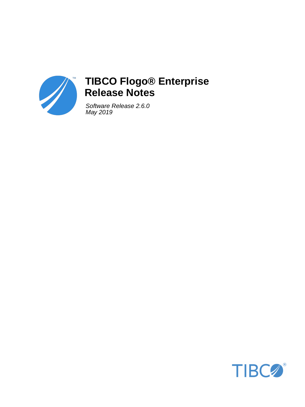

# **TIBCO Flogo® Enterprise Release Notes**

Software Release 2.6.0 May 2019

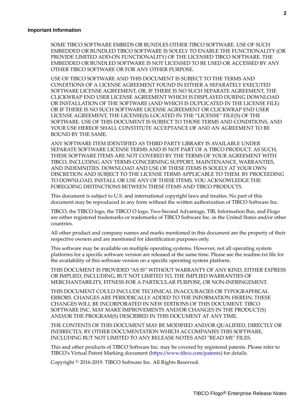#### **Important Information**

SOME TIBCO SOFTWARE EMBEDS OR BUNDLES OTHER TIBCO SOFTWARE. USE OF SUCH EMBEDDED OR BUNDLED TIBCO SOFTWARE IS SOLELY TO ENABLE THE FUNCTIONALITY (OR PROVIDE LIMITED ADD-ON FUNCTIONALITY) OF THE LICENSED TIBCO SOFTWARE. THE EMBEDDED OR BUNDLED SOFTWARE IS NOT LICENSED TO BE USED OR ACCESSED BY ANY OTHER TIBCO SOFTWARE OR FOR ANY OTHER PURPOSE.

USE OF TIBCO SOFTWARE AND THIS DOCUMENT IS SUBJECT TO THE TERMS AND CONDITIONS OF A LICENSE AGREEMENT FOUND IN EITHER A SEPARATELY EXECUTED SOFTWARE LICENSE AGREEMENT, OR, IF THERE IS NO SUCH SEPARATE AGREEMENT, THE CLICKWRAP END USER LICENSE AGREEMENT WHICH IS DISPLAYED DURING DOWNLOAD OR INSTALLATION OF THE SOFTWARE (AND WHICH IS DUPLICATED IN THE LICENSE FILE) OR IF THERE IS NO SUCH SOFTWARE LICENSE AGREEMENT OR CLICKWRAP END USER LICENSE AGREEMENT, THE LICENSE(S) LOCATED IN THE "LICENSE" FILE(S) OF THE SOFTWARE. USE OF THIS DOCUMENT IS SUBJECT TO THOSE TERMS AND CONDITIONS, AND YOUR USE HEREOF SHALL CONSTITUTE ACCEPTANCE OF AND AN AGREEMENT TO BE BOUND BY THE SAME.

ANY SOFTWARE ITEM IDENTIFIED AS THIRD PARTY LIBRARY IS AVAILABLE UNDER SEPARATE SOFTWARE LICENSE TERMS AND IS NOT PART OF A TIBCO PRODUCT. AS SUCH, THESE SOFTWARE ITEMS ARE NOT COVERED BY THE TERMS OF YOUR AGREEMENT WITH TIBCO, INCLUDING ANY TERMS CONCERNING SUPPORT, MAINTENANCE, WARRANTIES, AND INDEMNITIES. DOWNLOAD AND USE OF THESE ITEMS IS SOLELY AT YOUR OWN DISCRETION AND SUBJECT TO THE LICENSE TERMS APPLICABLE TO THEM. BY PROCEEDING TO DOWNLOAD, INSTALL OR USE ANY OF THESE ITEMS, YOU ACKNOWLEDGE THE FOREGOING DISTINCTIONS BETWEEN THESE ITEMS AND TIBCO PRODUCTS.

This document is subject to U.S. and international copyright laws and treaties. No part of this document may be reproduced in any form without the written authorization of TIBCO Software Inc.

TIBCO, the TIBCO logo, the TIBCO O logo, Two-Second Advantage, TIB, Information Bus, and Flogo are either registered trademarks or trademarks of TIBCO Software Inc. in the United States and/or other countries.

All other product and company names and marks mentioned in this document are the property of their respective owners and are mentioned for identification purposes only.

This software may be available on multiple operating systems. However, not all operating system platforms for a specific software version are released at the same time. Please see the readme.txt file for the availability of this software version on a specific operating system platform.

THIS DOCUMENT IS PROVIDED "AS IS" WITHOUT WARRANTY OF ANY KIND, EITHER EXPRESS OR IMPLIED, INCLUDING, BUT NOT LIMITED TO, THE IMPLIED WARRANTIES OF MERCHANTABILITY, FITNESS FOR A PARTICULAR PURPOSE, OR NON-INFRINGEMENT.

THIS DOCUMENT COULD INCLUDE TECHNICAL INACCURACIES OR TYPOGRAPHICAL ERRORS. CHANGES ARE PERIODICALLY ADDED TO THE INFORMATION HEREIN; THESE CHANGES WILL BE INCORPORATED IN NEW EDITIONS OF THIS DOCUMENT. TIBCO SOFTWARE INC. MAY MAKE IMPROVEMENTS AND/OR CHANGES IN THE PRODUCT(S) AND/OR THE PROGRAM(S) DESCRIBED IN THIS DOCUMENT AT ANY TIME.

THE CONTENTS OF THIS DOCUMENT MAY BE MODIFIED AND/OR QUALIFIED, DIRECTLY OR INDIRECTLY, BY OTHER DOCUMENTATION WHICH ACCOMPANIES THIS SOFTWARE, INCLUDING BUT NOT LIMITED TO ANY RELEASE NOTES AND "READ ME" FILES.

This and other products of TIBCO Software Inc. may be covered by registered patents. Please refer to TIBCO's Virtual Patent Marking document (https://www.tibco.com/patents) for details.

Copyright © 2016-2019. TIBCO Software Inc. All Rights Reserved.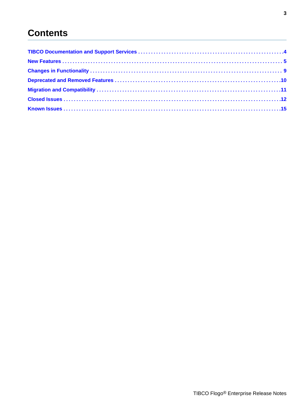# **Contents**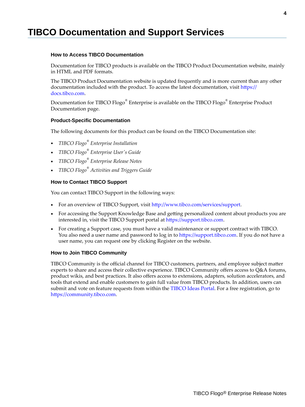# <span id="page-3-0"></span>**TIBCO Documentation and Support Services**

# **How to Access TIBCO Documentation**

Documentation for TIBCO products is available on the TIBCO Product Documentation website, mainly in HTML and PDF formats.

The TIBCO Product Documentation website is updated frequently and is more current than any other documentation included with the product. To access the latest documentation, visit https:// docs.tibco.com.

Documentation for TIBCO Flogo $^{\circledast}$  Enterprise is available on the TIBCO Flogo $^{\circledast}$  Enterprise Product Documentation page.

#### **Product-Specific Documentation**

The following documents for this product can be found on the TIBCO Documentation site:

- *TIBCO Flogo® Enterprise Installation*
- *TIBCO Flogo® Enterprise User's Guide*
- *TIBCO Flogo® Enterprise Release Notes*
- *TIBCO Flogo® Activities and Triggers Guide*

# **How to Contact TIBCO Support**

You can contact TIBCO Support in the following ways:

- For an overview of TIBCO Support, visit http://www.tibco.com/services/support.
- For accessing the Support Knowledge Base and getting personalized content about products you are interested in, visit the TIBCO Support portal at https://support.tibco.com.
- For creating a Support case, you must have a valid maintenance or support contract with TIBCO. You also need a user name and password to log in to https://support.tibco.com. If you do not have a user name, you can request one by clicking Register on the website.

# **How to Join TIBCO Community**

TIBCO Community is the official channel for TIBCO customers, partners, and employee subject matter experts to share and access their collective experience. TIBCO Community offers access to Q&A forums, product wikis, and best practices. It also offers access to extensions, adapters, solution accelerators, and tools that extend and enable customers to gain full value from TIBCO products. In addition, users can submit and vote on feature requests from within the [TIBCO Ideas Portal](https://ideas.tibco.com/). For a free registration, go to https://community.tibco.com.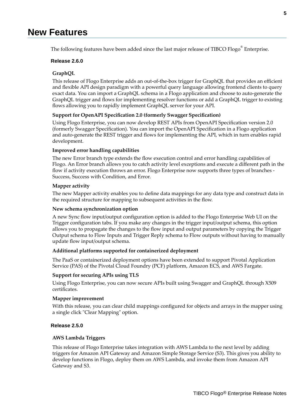# <span id="page-4-0"></span>**New Features**

The following features have been added since the last major release of TIBCO Flogo $^{\circledast}$  Enterprise.

#### **Release 2.6.0**

# **GraphQL**

This release of Flogo Enterprise adds an out-of-the-box trigger for GraphQL that provides an efficient and flexible API design paradigm with a powerful query language allowing frontend clients to query exact data. You can import a GraphQL schema in a Flogo application and choose to auto-generate the GraphQL trigger and flows for implementing resolver functions or add a GraphQL trigger to existing flows allowing you to rapidly implement GraphQL server for your API.

#### **Support for OpenAPI Specification 2.0 (formerly Swagger Specification)**

Using Flogo Enterprise, you can now develop REST APIs from OpenAPI Specification version 2.0 (formerly Swagger Specification). You can import the OpenAPI Specification in a Flogo application and auto-generate the REST trigger and flows for implementing the API, which in turn enables rapid development.

#### **Improved error handling capabilities**

The new Error branch type extends the flow execution control and error handling capabilities of Flogo. An Error branch allows you to catch activity level exceptions and execute a different path in the flow if activity execution throws an error. Flogo Enterprise now supports three types of branches - Success, Success with Condition, and Error.

#### **Mapper activity**

The new Mapper activity enables you to define data mappings for any data type and construct data in the required structure for mapping to subsequent activities in the flow.

#### **New schema synchronization option**

A new Sync flow input/output configuration option is added to the Flogo Enterprise Web UI on the Trigger configuration tabs. If you make any changes in the trigger input/output schema, this option allows you to propagate the changes to the flow input and output parameters by copying the Trigger Output schema to Flow Inputs and Trigger Reply schema to Flow outputs without having to manually update flow input/output schema.

## **Additional platforms supported for containerized deployment**

The PaaS or containerized deployment options have been extended to support Pivotal Application Service (PAS) of the Pivotal Cloud Foundry (PCF) platform, Amazon ECS, and AWS Fargate.

#### **Support for securing APIs using TLS**

Using Flogo Enterprise, you can now secure APIs built using Swagger and GraphQL through X509 certificates.

#### **Mapper improvement**

With this release, you can clear child mappings configured for objects and arrays in the mapper using a single click "Clear Mapping" option.

#### **Release 2.5.0**

### **AWS Lambda Triggers**

This release of Flogo Enterprise takes integration with AWS Lambda to the next level by adding triggers for Amazon API Gateway and Amazon Simple Storage Service (S3). This gives you ability to develop functions in Flogo, deploy them on AWS Lambda, and invoke them from Amazon API Gateway and S3.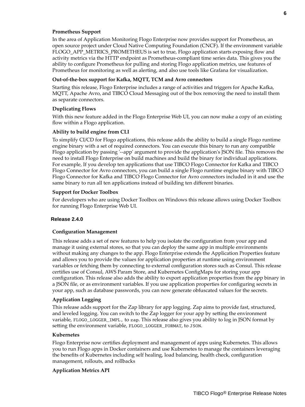# **Prometheus Support**

In the area of Application Monitoring Flogo Enterprise now provides support for Prometheus, an open source project under Cloud Native Computing Foundation (CNCF). If the environment variable FLOGO\_APP\_METRICS\_PROMETHEUS is set to true, Flogo application starts exposing flow and activity metrics via the HTTP endpoint as Prometheus-compliant time series data. This gives you the ability to configure Prometheus for pulling and storing Flogo application metrics, use features of Prometheus for monitoring as well as alerting, and also use tools like Grafana for visualization.

#### Out-of-the-box support for Kafka, MQTT, TCM and Avro connectors

Starting this release, Flogo Enterprise includes a range of activities and triggers for Apache Kafka, MQTT, Apache Avro, and TIBCO Cloud Messaging out of the box removing the need to install them as separate connectors.

## **Duplicating Flows**

With this new feature added in the Flogo Enterprise Web UI, you can now make a copy of an existing flow within a Flogo application.

#### **Ability to build engine from CLI**

To simplify CI/CD for Flogo applications, this release adds the ability to build a single Flogo runtime engine binary with a set of required connectors. You can execute this binary to run any compatible Flogo application by passing '--app' argument to provide the application's JSON file. This removes the need to install Flogo Enterprise on build machines and build the binary for individual applications. For example, If you develop ten applications that use TIBCO Flogo Connector for Kafka and TIBCO Flogo Connector for Avro connectors, you can build a single Flogo runtime engine binary with TIBCO Flogo Connector for Kafka and TIBCO Flogo Connector for Avro connectors included in it and use the same binary to run all ten applications instead of building ten different binaries.

#### **Support for Docker Toolbox**

For developers who are using Docker Toolbox on Windows this release allows using Docker Toolbox for running Flogo Enterprise Web UI.

#### **Release 2.4.0**

#### **Configuration Management**

This release adds a set of new features to help you isolate the configuration from your app and manage it using external stores, so that you can deploy the same app in multiple environments without making any changes to the app. Flogo Enterprise extends the Application Properties feature and allows you to provide the values for application properties at runtime using environment variables or fetching them by connecting to external configuration stores such as Consul. This release certifies use of Consul, AWS Param Store, and Kubernetes ConfigMaps for storing your app configuration. This release also adds the ability to export application properties from the app binary in a JSON file, or as environment variables. If you use application properties for configuring secrets in your app, such as database passwords, you can now generate obfuscated values for the secrets.

### **Application Logging**

This release adds support for the Zap library for app logging. Zap aims to provide fast, structured, and leveled logging. You can switch to the Zap logger for your app by setting the environment variable, FLOGO\_LOGGER\_IMPL, to zap. This release also gives you ability to log in JSON format by setting the environment variable, FLOGO\_LOGGER\_FORMAT, to JSON.

#### **Kubernetes**

Flogo Enterprise now certifies deployment and management of apps using Kubernetes. This allows you to run Flogo apps in Docker containers and use Kubernetes to manage the containers leveraging the benefits of Kubernetes including self healing, load balancing, health check, configuration management, rollouts, and rollbacks

#### **Application Metrics API**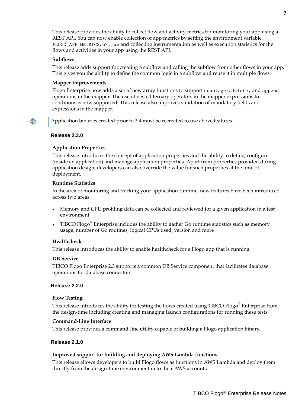This release provides the ability to collect flow and activity metrics for monitoring your app using a REST API. You can now enable collection of app metrics by setting the environment variable, FLOGO\_APP\_METRICS, to true and collecting instrumentation as well as execution statistics for the flows and activities in your app using the REST API.

## **Subflows**

This release adds support for creating a subflow and calling the subflow from other flows in your app. This gives you the ability to define the common logic in a subflow and reuse it in multiple flows.

# **Mapper Improvements**

Flogo Enterprise now adds a set of new array functions to support count, get, delete, and append operations in the mapper. The use of nested ternary operators in the mapper expressions for conditions is now supported. This release also improves validation of mandatory fields and expressions in the mapper.

Application binaries created prior to 2.4 must be recreated to use above features.

## **Release 2.3.0**

# **Application Properties**

This release introduces the concept of application properties and the ability to define, configure (inside an application) and manage application properties. Apart from properties provided during application design, developers can also override the value for such properties at the time of deployment.

#### **Runtime Statistics**

In the area of monitoring and tracking your application runtime, new features have been introduced across two areas:

- Memory and CPU profiling data can be collected and reviewed for a given application in a test environment
- TIBCO Flogo $^{\circ}$  Enterprise includes the ability to gather Go runtime statistics such as memory usage, number of Go routines, logical CPUs used, version and more

# **Healthcheck**

This release introduces the ability to enable healthcheck for a Flogo app that is running.

#### **DB Service**

TIBCO Flogo Enterprise 2.3 supports a common DB Service component that facilitates database operations for database connectors.

#### **Release 2.2.0**

#### **Flow Testing**

This release introduces the ability for testing the flows created using TIBCO Flogo $^{\circ}$  Enterprise from the design-time including creating and managing launch configurations for running these tests.

# **Command-Line Interface**

This release provides a command-line utility capable of building a Flogo application binary.

# **Release 2.1.0**

#### **Improved support for building and deploying AWS Lambda functions**

This release allows developers to build Flogo flows as functions in AWS Lambda and deploy them directly from the design-time environment in to their AWS accounts.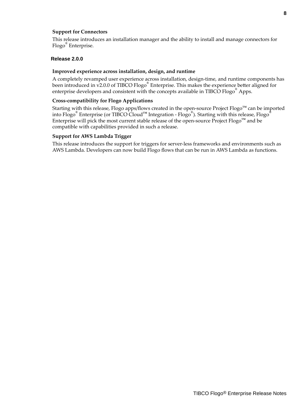# **Support for Connectors**

This release introduces an installation manager and the ability to install and manage connectors for Flogo® Enterprise.

# **Release 2.0.0**

#### **Improved experience across installation, design, and runtime**

A completely revamped user experience across installation, design-time, and runtime components has been introduced in v2.0.0 of TIBCO Flogo<sup>®</sup> Enterprise. This makes the experience better aligned for enterprise developers and consistent with the concepts available in TIBCO Flogo<sup>®</sup> Apps.

#### **Cross-compatibility for Flogo Applications**

Starting with this release, Flogo apps/flows created in the open-source Project Flogo™ can be imported into Flogo® Enterprise (or TIBCO Cloud™ Integration - Flogo® ). Starting with this release, Flogo® Enterprise will pick the most current stable release of the open-source Project Flogo™ and be compatible with capabilities provided in such a release.

## **Support for AWS Lambda Trigger**

This release introduces the support for triggers for server-less frameworks and environments such as AWS Lambda. Developers can now build Flogo flows that can be run in AWS Lambda as functions.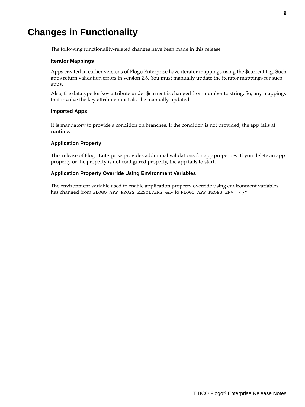# <span id="page-8-0"></span>**Changes in Functionality**

The following functionality-related changes have been made in this release.

## **Iterator Mappings**

Apps created in earlier versions of Flogo Enterprise have iterator mappings using the \$current tag. Such apps return validation errors in version 2.6. You must manually update the iterator mappings for such apps.

Also, the datatype for key attribute under \$current is changed from number to string. So, any mappings that involve the key attribute must also be manually updated.

## **Imported Apps**

It is mandatory to provide a condition on branches. If the condition is not provided, the app fails at runtime.

## **Application Property**

This release of Flogo Enterprise provides additional validations for app properties. If you delete an app property or the property is not configured properly, the app fails to start.

## **Application Property Override Using Environment Variables**

The environment variable used to enable application property override using environment variables has changed from FLOGO\_APP\_PROPS\_RESOLVERS=env to FLOGO\_APP\_PROPS\_ENV="{}"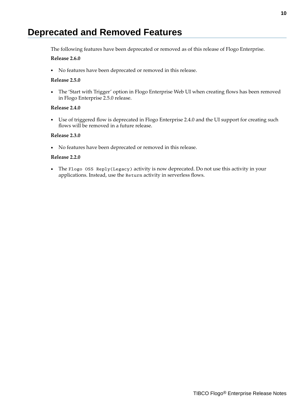# <span id="page-9-0"></span>**Deprecated and Removed Features**

The following features have been deprecated or removed as of this release of Flogo Enterprise.

# **Release 2.6.0**

• No features have been deprecated or removed in this release.

# **Release 2.5.0**

• The 'Start with Trigger' option in Flogo Enterprise Web UI when creating flows has been removed in Flogo Enterprise 2.5.0 release.

# **Release 2.4.0**

• Use of triggered flow is deprecated in Flogo Enterprise 2.4.0 and the UI support for creating such flows will be removed in a future release.

# **Release 2.3.0**

• No features have been deprecated or removed in this release.

## **Release 2.2.0**

• The Flogo OSS Reply(Legacy) activity is now deprecated. Do not use this activity in your applications. Instead, use the Return activity in serverless flows.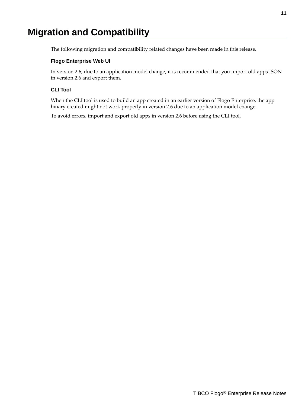# <span id="page-10-0"></span>**Migration and Compatibility**

The following migration and compatibility related changes have been made in this release.

# **Flogo Enterprise Web UI**

In version 2.6, due to an application model change, it is recommended that you import old apps JSON in version 2.6 and export them.

# **CLI Tool**

When the CLI tool is used to build an app created in an earlier version of Flogo Enterprise, the app binary created might not work properly in version 2.6 due to an application model change.

To avoid errors, import and export old apps in version 2.6 before using the CLI tool.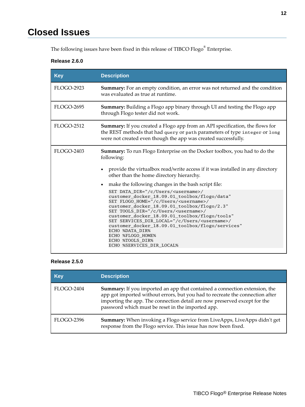# <span id="page-11-0"></span>**Closed Issues**

The following issues have been fixed in this release of TIBCO Flogo $^{\circledast}$  Enterprise.

# **Release 2.6.0**

| <b>Key</b>        | <b>Description</b>                                                                                                                                                                                                                                                                                                                                                                                                                                                                                                                                                                         |
|-------------------|--------------------------------------------------------------------------------------------------------------------------------------------------------------------------------------------------------------------------------------------------------------------------------------------------------------------------------------------------------------------------------------------------------------------------------------------------------------------------------------------------------------------------------------------------------------------------------------------|
| <b>FLOGO-2923</b> | <b>Summary:</b> For an empty condition, an error was not returned and the condition<br>was evaluated as true at runtime.                                                                                                                                                                                                                                                                                                                                                                                                                                                                   |
| <b>FLOGO-2695</b> | <b>Summary:</b> Building a Flogo app binary through UI and testing the Flogo app<br>through Flogo tester did not work.                                                                                                                                                                                                                                                                                                                                                                                                                                                                     |
| <b>FLOGO-2512</b> | <b>Summary:</b> If you created a Flogo app from an API specification, the flows for<br>the REST methods that had query or path parameters of type integer or long<br>were not created even though the app was created successfully.                                                                                                                                                                                                                                                                                                                                                        |
| <b>FLOGO-2403</b> | <b>Summary:</b> To run Flogo Enterprise on the Docker toolbox, you had to do the<br>following:<br>provide the virtualbox read/write access if it was installed in any directory<br>other than the home directory hierarchy.                                                                                                                                                                                                                                                                                                                                                                |
|                   | make the following changes in the bash script file:<br>$\bullet$<br>SET DATA_DIR="/c/Users/ <username>/<br/>customer_docker_18.09.01_toolbox/flogo/data"<br/>SET FLOGO_HOME="/c/Users/<username>/<br/>customer_docker_18.09.01_toolbox/flogo/2.3"<br/>SET TOOLS_DIR="/c/Users/<username>/<br/>customer_docker_18.09.01_toolbox/flogo/tools"<br/>SET SERVICES_DIR_LOCAL="/c/Users/<username>/<br/>customer_docker_18.09.01_toolbox/flogo/services"<br/>ECHO %DATA DIR%<br/>ECHO %FLOGO HOME%<br/>ECHO %TOOLS_DIR%<br/>ECHO %SERVICES DIR LOCAL%</username></username></username></username> |

# **Release 2.5.0**

| <b>Key</b> | <b>Description</b>                                                                                                                                                                                                                                                                            |
|------------|-----------------------------------------------------------------------------------------------------------------------------------------------------------------------------------------------------------------------------------------------------------------------------------------------|
| FLOGO-2404 | Summary: If you imported an app that contained a connection extension, the<br>app got imported without errors, but you had to recreate the connection after<br>importing the app. The connection detail are now preserved except for the<br>password which must be reset in the imported app. |
| FLOGO-2396 | <b>Summary:</b> When invoking a Flogo service from LiveApps, LiveApps didn't get<br>response from the Flogo service. This issue has now been fixed.                                                                                                                                           |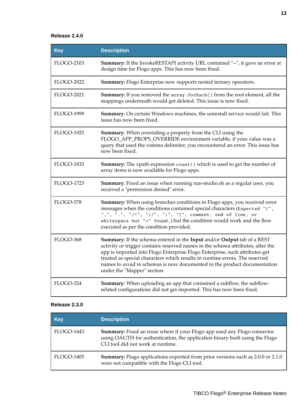# **Release 2.4.0**

| <b>Key</b>        | <b>Description</b>                                                                                                                                                                                                                                                                                                                                                                                                                  |
|-------------------|-------------------------------------------------------------------------------------------------------------------------------------------------------------------------------------------------------------------------------------------------------------------------------------------------------------------------------------------------------------------------------------------------------------------------------------|
| <b>FLOGO-2103</b> | <b>Summary:</b> If the InvokeRESTAPI activity URL contained "--", it gave an error at<br>design time for Flogo apps. This has now been fixed.                                                                                                                                                                                                                                                                                       |
| <b>FLOGO-2022</b> | <b>Summary:</b> Flogo Enterprise now supports nested ternary operators.                                                                                                                                                                                                                                                                                                                                                             |
| <b>FLOGO-2021</b> | Summary: If you removed the array. forEach() from the root element, all the<br>mappings underneath would get deleted. This issue is now fixed.                                                                                                                                                                                                                                                                                      |
| <b>FLOGO-1999</b> | Summary: On certain Windows machines, the uninstall service would fail. This<br>issue has now been fixed.                                                                                                                                                                                                                                                                                                                           |
| <b>FLOGO-1925</b> | Summary: When overriding a property from the CLI using the<br>FLOGO_APP_PROPS_OVERRIDE environment variable, if your value was a<br>query that used the comma delimiter, you encountered an error. This issue has<br>now been fixed.                                                                                                                                                                                                |
| <b>FLOGO-1833</b> | <b>Summary:</b> The xpath expression count () which is used to get the number of<br>array items is now available for Flogo apps.                                                                                                                                                                                                                                                                                                    |
| <b>FLOGO-1723</b> | Summary: Fixed an issue when running run-studio.sh as a regular user, you<br>received a "permission denied" error.                                                                                                                                                                                                                                                                                                                  |
| FLOGO-578         | Summary: When using branches conditions in Flogo apps, you received error<br>messages when the conditions contained special characters (Expected "(",<br>",", ".", "/*", "//", ";", "[", comment, end of line, or<br>whitespace but "<" found.) but the condition would work and the flow<br>executed as per the condition provided.                                                                                                |
| FLOGO-368         | Summary: If the schema entered in the Input and/or Output tab of a REST<br>activity or trigger contains reserved names in the schema attributes, after the<br>app is imported into Flogo Enterprise Flogo Enterprise, such attributes get<br>treated as special characters which results in runtime errors. The reserved<br>names to avoid in schemas is now documented in the product documentation<br>under the "Mapper" section. |
| FLOGO-324         | Summary: When uploading an app that contained a subflow, the subflow-<br>related configurations did not get imported. This has now been fixed.                                                                                                                                                                                                                                                                                      |

# **Release 2.3.0**

| Key        | <b>Description</b>                                                                                                                                                                                   |
|------------|------------------------------------------------------------------------------------------------------------------------------------------------------------------------------------------------------|
| FLOGO-1443 | <b>Summary:</b> Fixed an issue where if your Flogo app used any Flogo connector<br>using OAUTH for authentication, the application binary built using the Flogo<br>CLI tool did not work at runtime. |
| FLOGO-1405 | <b>Summary:</b> Flogo applications exported from prior versions such as 2.0.0 or 2.1.0<br>were not compatible with the Flogo CLI tool.                                                               |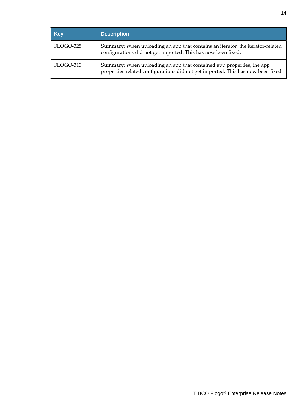| <b>Key</b> | <b>Description</b>                                                                                                                                               |
|------------|------------------------------------------------------------------------------------------------------------------------------------------------------------------|
| FLOGO-325  | Summary: When uploading an app that contains an iterator, the iterator-related<br>configurations did not get imported. This has now been fixed.                  |
| FLOGO-313  | <b>Summary:</b> When uploading an app that contained app properties, the app<br>properties related configurations did not get imported. This has now been fixed. |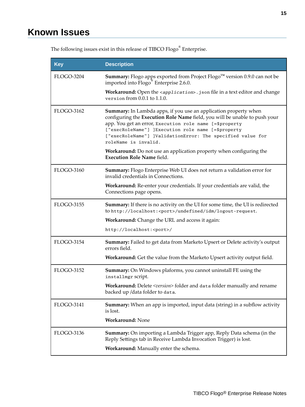| <b>Key</b>        | <b>Description</b>                                                                                                                                                                                                                                                                                                                                    |
|-------------------|-------------------------------------------------------------------------------------------------------------------------------------------------------------------------------------------------------------------------------------------------------------------------------------------------------------------------------------------------------|
| <b>FLOGO-3204</b> | <b>Summary:</b> Flogo apps exported from Project Flogo <sup><math>M</math></sup> version 0.9.0 can not be<br>imported into Flogo <sup>®</sup> Enterprise 2.6.0.                                                                                                                                                                                       |
|                   | Workaround: Open the <application>.json file in a text editor and change<br/>version from 0.0.1 to 1.1.0.</application>                                                                                                                                                                                                                               |
| FLOGO-3162        | Summary: In Lambda apps, if you use an application property when<br>configuring the Execution Role Name field, you will be unable to push your<br>app. You get an error, Execution role name [=\$property<br>["execRoleName"] ]Execution role name [=\$property<br>["execRoleName"] ]ValidationError: The specified value for<br>roleName is invalid. |
|                   | Workaround: Do not use an application property when configuring the<br><b>Execution Role Name field.</b>                                                                                                                                                                                                                                              |
| FLOGO-3160        | Summary: Flogo Enterprise Web UI does not return a validation error for<br>invalid credentials in Connections.                                                                                                                                                                                                                                        |
|                   | Workaround: Re-enter your credentials. If your credentials are valid, the<br>Connections page opens.                                                                                                                                                                                                                                                  |
| <b>FLOGO-3155</b> | <b>Summary:</b> If there is no activity on the UI for some time, the UI is redirected<br>to http://localhost: <port>/undefined/idm/logout-request.</port>                                                                                                                                                                                             |
|                   | <b>Workaround:</b> Change the URL and access it again:                                                                                                                                                                                                                                                                                                |
|                   | http://localhost: <port>/</port>                                                                                                                                                                                                                                                                                                                      |
| FLOGO-3154        | Summary: Failed to get data from Marketo Upsert or Delete activity's output<br>errors field.                                                                                                                                                                                                                                                          |
|                   | Workaround: Get the value from the Marketo Upsert activity output field.                                                                                                                                                                                                                                                                              |
| FLOGO-3152        | Summary: On Windows plaforms, you cannot uninstall FE using the<br>installmgr script.                                                                                                                                                                                                                                                                 |
|                   | Workaround: Delete <version> folder and data folder manually and rename<br/>backed up /data folder to data.</version>                                                                                                                                                                                                                                 |
| FLOGO-3141        | <b>Summary:</b> When an app is imported, input data (string) in a subflow activity<br>is lost.                                                                                                                                                                                                                                                        |
|                   | <b>Workaround: None</b>                                                                                                                                                                                                                                                                                                                               |
| FLOGO-3136        | Summary: On importing a Lambda Trigger app, Reply Data schema (in the<br>Reply Settings tab in Receive Lambda Invocation Trigger) is lost.<br>Workaround: Manually enter the schema.                                                                                                                                                                  |

<span id="page-14-0"></span>The following issues exist in this release of TIBCO Flogo $^{\circledR}$  Enterprise.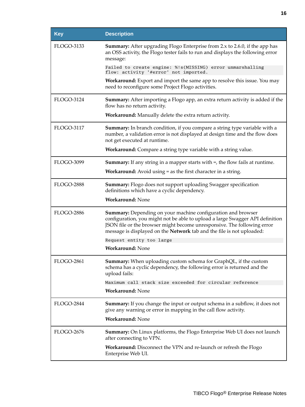| <b>Key</b>        | <b>Description</b>                                                                                                                                                                                                                                                                                       |
|-------------------|----------------------------------------------------------------------------------------------------------------------------------------------------------------------------------------------------------------------------------------------------------------------------------------------------------|
| <b>FLOGO-3133</b> | <b>Summary:</b> After upgrading Flogo Enterprise from 2.x to 2.6.0, if the app has<br>an OSS activity, the Flogo tester fails to run and displays the following error<br>message:                                                                                                                        |
|                   | Failed to create engine: %!s(MISSING) error unmarshalling<br>flow: activity '#error' not imported.                                                                                                                                                                                                       |
|                   | <b>Workaround:</b> Export and import the same app to resolve this issue. You may<br>need to reconfigure some Project Flogo activities.                                                                                                                                                                   |
| <b>FLOGO-3124</b> | <b>Summary:</b> After importing a Flogo app, an extra return activity is added if the<br>flow has no return activity.                                                                                                                                                                                    |
|                   | Workaround: Manually delete the extra return activity.                                                                                                                                                                                                                                                   |
| <b>FLOGO-3117</b> | <b>Summary:</b> In branch condition, if you compare a string type variable with a<br>number, a validation error is not displayed at design time and the flow does<br>not get executed at runtime.                                                                                                        |
|                   | Workaround: Compare a string type variable with a string value.                                                                                                                                                                                                                                          |
| <b>FLOGO-3099</b> | <b>Summary:</b> If any string in a mapper starts with $=$ , the flow fails at runtime.                                                                                                                                                                                                                   |
|                   | <b>Workaround:</b> Avoid using = as the first character in a string.                                                                                                                                                                                                                                     |
| <b>FLOGO-2888</b> | <b>Summary:</b> Flogo does not support uploading Swagger specification<br>definitions which have a cyclic dependency.                                                                                                                                                                                    |
|                   | <b>Workaround: None</b>                                                                                                                                                                                                                                                                                  |
| <b>FLOGO-2886</b> | <b>Summary:</b> Depending on your machine configuration and browser<br>configuration, you might not be able to upload a large Swagger API definition<br>JSON file or the browser might become unresponsive. The following error<br>message is displayed on the Network tab and the file is not uploaded: |
|                   | Request entity too large                                                                                                                                                                                                                                                                                 |
|                   | <b>Workaround: None</b>                                                                                                                                                                                                                                                                                  |
| <b>FLOGO-2861</b> | <b>Summary:</b> When uploading custom schema for GraphQL, if the custom<br>schema has a cyclic dependency, the following error is returned and the<br>upload fails:                                                                                                                                      |
|                   | Maximum call stack size exceeded for circular reference                                                                                                                                                                                                                                                  |
|                   | <b>Workaround: None</b>                                                                                                                                                                                                                                                                                  |
| <b>FLOGO-2844</b> | <b>Summary:</b> If you change the input or output schema in a subflow, it does not<br>give any warning or error in mapping in the call flow activity.                                                                                                                                                    |
|                   | <b>Workaround: None</b>                                                                                                                                                                                                                                                                                  |
| <b>FLOGO-2676</b> | <b>Summary:</b> On Linux platforms, the Flogo Enterprise Web UI does not launch<br>after connecting to VPN.                                                                                                                                                                                              |
|                   | <b>Workaround:</b> Disconnect the VPN and re-launch or refresh the Flogo<br>Enterprise Web UI.                                                                                                                                                                                                           |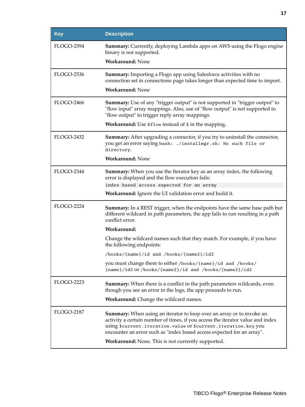| Key               | <b>Description</b>                                                                                                                                                                                                                                                                                                                                               |
|-------------------|------------------------------------------------------------------------------------------------------------------------------------------------------------------------------------------------------------------------------------------------------------------------------------------------------------------------------------------------------------------|
| <b>FLOGO-2594</b> | <b>Summary:</b> Currently, deploying Lambda apps on AWS using the Flogo engine<br>binary is not supported.                                                                                                                                                                                                                                                       |
|                   | <b>Workaround: None</b>                                                                                                                                                                                                                                                                                                                                          |
| FLOGO-2536        | <b>Summary:</b> Importing a Flogo app using Salesforce activities with no<br>connection set in connections page takes longer than expected time to import.<br><b>Workaround: None</b>                                                                                                                                                                            |
|                   |                                                                                                                                                                                                                                                                                                                                                                  |
| <b>FLOGO-2466</b> | <b>Summary:</b> Use of any "trigger output" is not supported in "trigger output" to<br>"flow input" array mappings. Also, use of "flow output" is not supported in<br>"flow output" to trigger reply array mappings.                                                                                                                                             |
|                   | Workaround: Use \$flow instead of \$ in the mapping.                                                                                                                                                                                                                                                                                                             |
| <b>FLOGO-2432</b> | Summary: After upgrading a connector, if you try to uninstall the connector,<br>you get an error saying bash: ./installmgr.sh: No such file or<br>directory.                                                                                                                                                                                                     |
|                   | <b>Workaround: None</b>                                                                                                                                                                                                                                                                                                                                          |
| <b>FLOGO-2344</b> | <b>Summary:</b> When you use the Iterator key as an array index, the following<br>error is displayed and the flow execution fails:                                                                                                                                                                                                                               |
|                   | index based access expected for an array                                                                                                                                                                                                                                                                                                                         |
|                   | <b>Workaround:</b> Ignore the UI validation error and build it.                                                                                                                                                                                                                                                                                                  |
| <b>FLOGO-2224</b> | <b>Summary:</b> In a REST trigger, when the endpoints have the same base path but<br>different wildcard in path parameters, the app fails to run resulting in a path<br>conflict error.                                                                                                                                                                          |
|                   | Workaround:                                                                                                                                                                                                                                                                                                                                                      |
|                   | Change the wildcard names such that they match. For example, if you have<br>the following endpoints:                                                                                                                                                                                                                                                             |
|                   | /books/{name}/id and /books/{name2}/id2                                                                                                                                                                                                                                                                                                                          |
|                   | you must change them to either /books/{name}/id and /books/<br>{name}/id2 or /books/{name2}/id and /books/{name2}/id2                                                                                                                                                                                                                                            |
| <b>FLOGO-2223</b> | <b>Summary:</b> When there is a conflict in the path parameters wildcards, even<br>though you see an error in the logs, the app proceeds to run.                                                                                                                                                                                                                 |
|                   | Workaround: Change the wildcard names.                                                                                                                                                                                                                                                                                                                           |
| <b>FLOGO-2187</b> | <b>Summary:</b> When using an iterator to loop over an array or to invoke an<br>activity a certain number of times, if you access the iterator value and index<br>using \$current.iteration.value or \$current.iteration.key you<br>encounter an error such as "index based access expected for an array".<br>Workaround: None. This is not currently supported. |
|                   |                                                                                                                                                                                                                                                                                                                                                                  |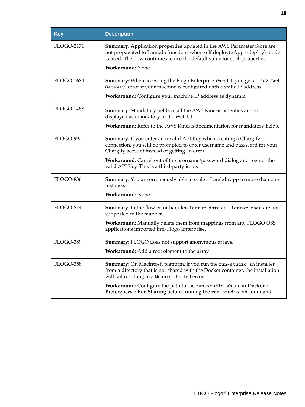| <b>Key</b>        | <b>Description</b>                                                                                                                                                                                                              |
|-------------------|---------------------------------------------------------------------------------------------------------------------------------------------------------------------------------------------------------------------------------|
| <b>FLOGO-2171</b> | Summary: Application properties updated in the AWS Parameter Store are<br>not propagated to Lambda functions when self deploy(./App --deploy) mode<br>is used. The flow continues to use the default value for such properties. |
|                   | <b>Workaround: None</b>                                                                                                                                                                                                         |
| <b>FLOGO-1684</b> | Summary: When accessing the Flogo Enterprise Web UI, you get a "502 Bad<br>Gateway" error if your machine is configured with a static IP address.                                                                               |
|                   | Workaround: Configure your machine IP address as dynamic.                                                                                                                                                                       |
| <b>FLOGO-1488</b> | <b>Summary:</b> Mandatory fields in all the AWS Kinesis activities are not<br>displayed as mandatory in the Web UI                                                                                                              |
|                   | Workaround: Refer to the AWS Kinesis documentation for mandatory fields.                                                                                                                                                        |
| FLOGO-992         | Summary: If you enter an invalid API Key when creating a Chargify<br>connection, you will be prompted to enter username and password for your<br>Chargify account instead of getting an error.                                  |
|                   | Workaround: Cancel out of the username/password dialog and reenter the<br>valid API Key. This is a third-party issue.                                                                                                           |
| FLOGO-836         | <b>Summary:</b> You are erroneously able to scale a Lambda app to more than one<br>instance.                                                                                                                                    |
|                   | Workaround: None.                                                                                                                                                                                                               |
| FLOGO-814         | Summary: In the flow error handler, \$error.data and \$error.code are not<br>supported in the mapper.                                                                                                                           |
|                   | Workaround: Manually delete them from mappings from any FLOGO OSS<br>applications imported into Flogo Enterprise.                                                                                                               |
| FLOGO-389         | Summary: FLOGO does not support anonymous arrays.                                                                                                                                                                               |
|                   | Workaround: Add a root element to the array.                                                                                                                                                                                    |
| FLOGO-358         | Summary: On Macintosh platform, if you run the run-studio. sh installer<br>from a directory that is not shared with the Docker container, the installation<br>will fail resulting in a Mounts denied error.                     |
|                   | Workaround: Configure the path to the run-studio. sh file in Docker><br>Preferences > File Sharing before running the run-studio. sh command.                                                                                   |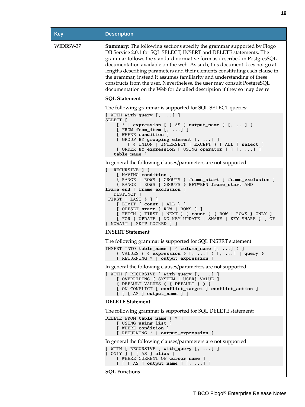| <b>Key</b> | <b>Description</b>                                                                                                                                                                                                                                                                                                                                                                                                                                                                                                                                                                                                           |
|------------|------------------------------------------------------------------------------------------------------------------------------------------------------------------------------------------------------------------------------------------------------------------------------------------------------------------------------------------------------------------------------------------------------------------------------------------------------------------------------------------------------------------------------------------------------------------------------------------------------------------------------|
| WIDBSV-37  | <b>Summary:</b> The following sections specify the grammar supported by Flogo<br>DB Service 2.0.1 for SQL SELECT, INSERT and DELETE statements. The<br>grammar follows the standard normative form as described in PostgresSQL<br>documentation available on the web. As such, this document does not go at<br>lengths describing parameters and their elements constituting each clause in<br>the grammar, instead it assumes familiarity and understanding of these<br>constructs from the user. Nevertheless, the user may consult PostgreSQL<br>documentation on the Web for detailed description if they so may desire. |
|            | <b>SQL Statement</b>                                                                                                                                                                                                                                                                                                                                                                                                                                                                                                                                                                                                         |
|            | The following grammar is supported for SQL SELECT queries:                                                                                                                                                                                                                                                                                                                                                                                                                                                                                                                                                                   |
|            | $[$ WITH with_query $[$ , ] ]<br>SELECT [<br>$[$ *   expression $[$ [AS ] output_name ] [, ] ]<br>$[$ FROM from item $[$ , $]$ ]<br>[ WHERE condition ]<br>$[$ GROUP BY grouping element $[$ , $]$ ]<br>[ { UNION   INTERSECT   EXCEPT } [ ALL ] select ]<br>[ ORDER BY expression [ USING operator ] ] [, ] ]<br>table_name ]                                                                                                                                                                                                                                                                                               |
|            | In general the following clauses/parameters are not supported:                                                                                                                                                                                                                                                                                                                                                                                                                                                                                                                                                               |
|            | [ RECURSIVE ] ]<br>[ HAVING condition ]<br>{ RANGE   ROWS   GROUPS } frame_start [ frame_exclusion ]<br>{ RANGE   ROWS   GROUPS } BETWEEN frame_start AND<br>frame_end [ frame_exclusion ]<br>[ DISTINCT ]<br>FIRST $ $ LAST $\}$ $]$ $]$<br>$[$ LIMIT $\{$ count $ $ ALL $\}$ $]$<br>$[$ OFFSET start $[$ ROW $]$ ROWS $]$ ]<br>[ FETCH { FIRST   NEXT } [ count ] { ROW   ROWS } ONLY ]<br>[ FOR { UPDATE   NO KEY UPDATE   SHARE   KEY SHARE } [ OF<br>[ NOWAIT   SKIP LOCKED ] ]                                                                                                                                         |
|            | <b>INSERT Statement</b>                                                                                                                                                                                                                                                                                                                                                                                                                                                                                                                                                                                                      |
|            | The following grammar is supported for SQL INSERT statement                                                                                                                                                                                                                                                                                                                                                                                                                                                                                                                                                                  |
|            | INSERT INTO table_name [ ( column_name [, ] ) ]<br>{ VALUES ( { expression } [, ] ) [, ]   query }<br>[ RETURNING *   output_expression ]                                                                                                                                                                                                                                                                                                                                                                                                                                                                                    |
|            | In general the following clauses/parameters are not supported:                                                                                                                                                                                                                                                                                                                                                                                                                                                                                                                                                               |
|            | $[$ WITH $[$ RECURSIVE $]$ with query $[$ , $]$ $]$<br>[ OVERRIDING { SYSTEM   USER} VALUE ]<br>{ DEFAULT VALUES ( { DEFAULT } ) }<br>[ ON CONFLICT [ conflict_target ] conflict_action ]<br>$[$ $[$ $[$ AS $]$ output_name $]$ $]$                                                                                                                                                                                                                                                                                                                                                                                          |
|            | <b>DELETE</b> Statement                                                                                                                                                                                                                                                                                                                                                                                                                                                                                                                                                                                                      |
|            | The following grammar is supported for SQL DELETE statement:                                                                                                                                                                                                                                                                                                                                                                                                                                                                                                                                                                 |
|            | DELETE FROM table_name [ * ]<br>[ USING using_list ]<br>[ WHERE condition ]<br>[ RETURNING *   output_expression ]                                                                                                                                                                                                                                                                                                                                                                                                                                                                                                           |
|            | In general the following clauses/parameters are not supported:                                                                                                                                                                                                                                                                                                                                                                                                                                                                                                                                                               |
|            | $[$ WITH $[$ RECURSIVE $]$ with query $[$ , $]$ $]$<br>[ONLY] [SAS] alias]<br>[ WHERE CURRENT OF cursor_name ]<br>$[ [ [ A S ] output_name ] [ ,  ] ]$                                                                                                                                                                                                                                                                                                                                                                                                                                                                       |
|            | <b>SQL Functions</b>                                                                                                                                                                                                                                                                                                                                                                                                                                                                                                                                                                                                         |